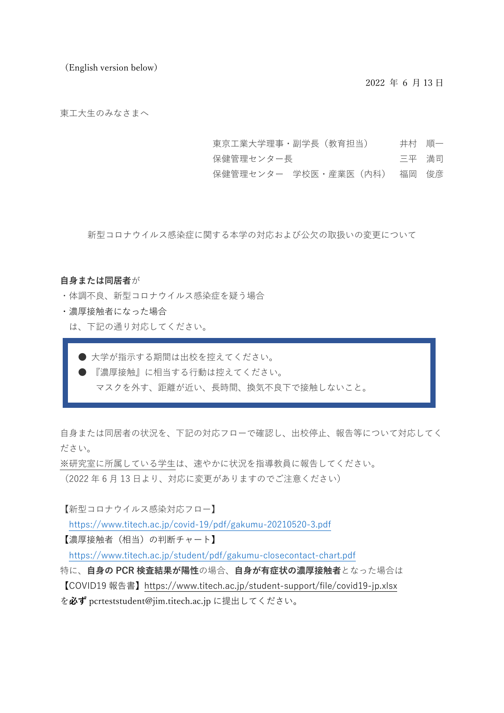(English version below)

2022 年 6 月 13 日

東工大生のみなさまへ

- 東京工業大学理事・副学長(教育担当) 井村 順一
- 保健管理センター長 こんちょう コ平 満司
- 保健管理センター 学校医・産業医(内科) 福岡 俊彦

新型コロナウイルス感染症に関する本学の対応および公欠の取扱いの変更について

#### **自身または同居者**が

- ・体調不良、新型コロナウイルス感染症を疑う場合
- ・濃厚接触者になった場合
	- は、下記の通り対応してください。
		- 大学が指示する期間は出校を控えてください。
		- 『濃厚接触』に相当する行動は控えてください。
			- マスクを外す、距離が近い、長時間、換気不良下で接触しないこと。

自身または同居者の状況を、下記の対応フローで確認し、出校停止、報告等について対応してく ださい。

※研究室に所属している学生は、速やかに状況を指導教員に報告してください。

(2022 年 6 月 13 日より、対応に変更がありますのでご注意ください)

【新型コロナウイルス感染対応フロー】

<https://www.titech.ac.jp/covid-19/pdf/gakumu-20210520-3.pdf>

【濃厚接触者(相当)の判断チャート】

<https://www.titech.ac.jp/student/pdf/gakumu-closecontact-chart.pdf>

特に、**自身の PCR 検査結果が陽性**の場合、**自身が有症状の濃厚接触者**となった場合は 【COVID19 報告書】<https://www.titech.ac.jp/student-support/file/covid19-jp.xlsx>

を**必ず** pcrteststudent@jim.titech.ac.jp に提出してください。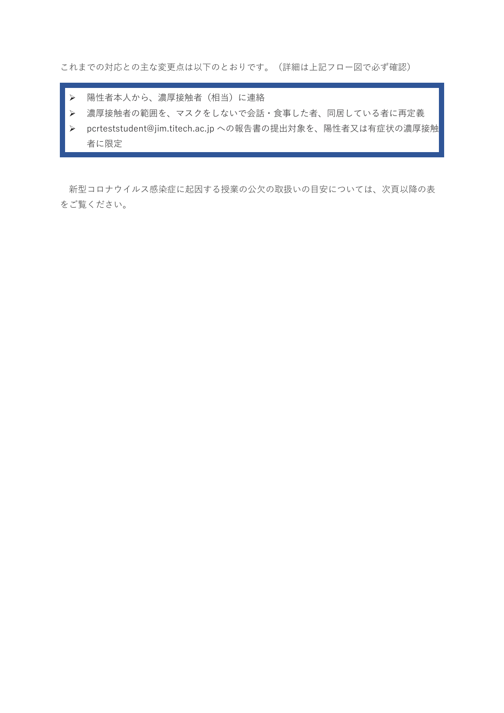これまでの対応との主な変更点は以下のとおりです。(詳細は上記フロー図で必ず確認)

- ▶ 陽性者本人から、濃厚接触者(相当)に連絡
- 濃厚接触者の範囲を、マスクをしないで会話・食事した者、同居している者に再定義
- ▶ pcrteststudent@jim.titech.ac.jp への報告書の提出対象を、陽性者又は有症状の濃厚接触 者に限定

新型コロナウイルス感染症に起因する授業の公欠の取扱いの目安については、次頁以降の表 をご覧ください。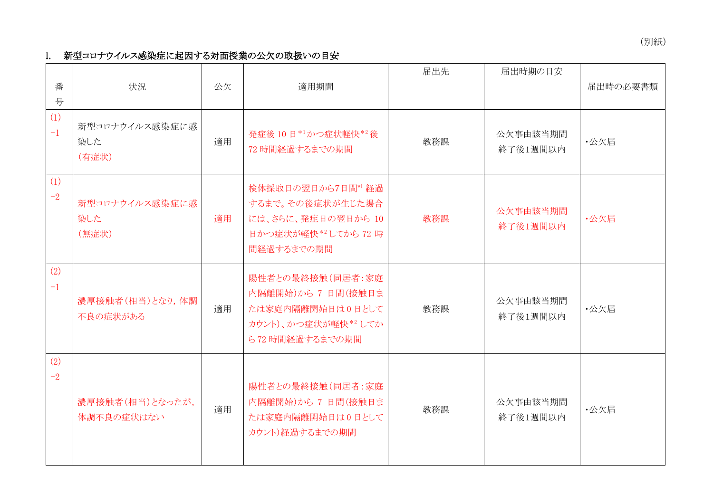(別紙)

# I. 新型コロナウイルス感染症に起因する対面授業の公欠の取扱いの目安

| 番<br>号      | 状況                             | 公欠 | 適用期間                                                                                               | 届出先 | 届出時期の目安              | 届出時の必要書類 |
|-------------|--------------------------------|----|----------------------------------------------------------------------------------------------------|-----|----------------------|----------|
| (1)<br>$-1$ | 新型コロナウイルス感染症に感<br>染した<br>(有症状) | 適用 | 発症後10日*1かつ症状軽快*2後<br>72 時間経過するまでの期間                                                                | 教務課 | 公欠事由該当期間<br>終了後1週間以内 | ·公欠届     |
| (1)<br>$-2$ | 新型コロナウイルス感染症に感<br>染した<br>(無症状) | 適用 | 検体採取日の翌日から7日間*1 経過<br>するまで。その後症状が生じた場合<br>には、さらに、発症日の翌日から 10<br>日かつ症状が軽快*2してから 72 時<br>間経過するまでの期間  | 教務課 | 公欠事由該当期間<br>終了後1週間以内 | ·公欠届     |
| (2)<br>$-1$ | 濃厚接触者(相当)となり、体調<br>不良の症状がある    | 適用 | 陽性者との最終接触(同居者:家庭<br>内隔離開始)から 7 日間(接触日ま<br>たは家庭内隔離開始日は0日として<br>カウント)、かつ症状が軽快*2してか<br>ら72時間経過するまでの期間 | 教務課 | 公欠事由該当期間<br>終了後1週間以内 | ·公欠届     |
| (2)<br>$-2$ | 濃厚接触者(相当)となったが,<br>体調不良の症状はない  | 適用 | 陽性者との最終接触(同居者:家庭<br>内隔離開始)から 7 日間(接触日ま<br>たは家庭内隔離開始日は0日として<br>カウント)経過するまでの期間                       | 教務課 | 公欠事由該当期間<br>終了後1週間以内 | ·公欠届     |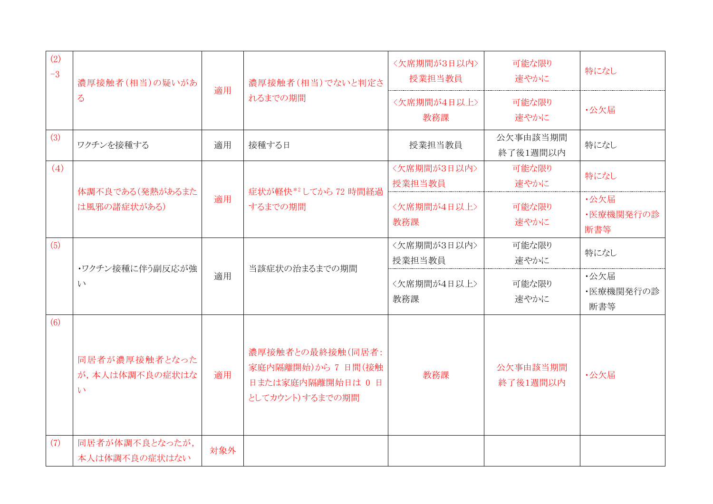| (2)<br>$-3$ | 濃厚接触者(相当)の疑いがあ                                   | 適用  | 濃厚接触者(相当)でないと判定さ<br>れるまでの期間                                                    | <欠席期間が3日以内><br>授業担当教員 | 可能な限り<br>速やかに        | 特になし                     |
|-------------|--------------------------------------------------|-----|--------------------------------------------------------------------------------|-----------------------|----------------------|--------------------------|
|             | $\zeta$                                          |     |                                                                                | <欠席期間が4日以上><br>教務課    | 可能な限り<br>速やかに        | ·公欠届                     |
| (3)         | ワクチンを接種する                                        | 適用  | 接種する日                                                                          | 授業担当教員                | 公欠事由該当期間<br>終了後1週間以内 | 特になし                     |
| (4)         | 体調不良である(発熱があるまた                                  |     | 症状が軽快*2してから 72 時間経過                                                            | <欠席期間が3日以内><br>授業担当教員 | 可能な限り<br>速やかに        | 特になし                     |
|             | は風邪の諸症状がある)                                      | 適用  | するまでの期間                                                                        | <欠席期間が4日以上><br>教務課    | 可能な限り<br>速やかに        | ·公欠届<br>・医療機関発行の診<br>断書等 |
| (5)         | ・ワクチン接種に伴う副反応が強                                  |     | 当該症状の治まるまでの期間                                                                  | <欠席期間が3日以内><br>授業担当教員 | 可能な限り<br>速やかに        | 特になし                     |
|             | い                                                | 適用  |                                                                                | <欠席期間が4日以上><br>教務課    | 可能な限り<br>速やかに        | ·公欠届<br>・医療機関発行の診<br>断書等 |
| (6)         | 同居者が濃厚接触者となった<br>が,本人は体調不良の症状はな<br>$\mathcal{V}$ | 適用  | 濃厚接触者との最終接触(同居者:<br>家庭内隔離開始)から 7 日間(接触<br>日または家庭内隔離開始日は 0 日<br>としてカウント)するまでの期間 | 教務課                   | 公欠事由該当期間<br>終了後1週間以内 | ·公欠届                     |
| (7)         | 同居者が体調不良となったが,<br>本人は体調不良の症状はない                  | 対象外 |                                                                                |                       |                      |                          |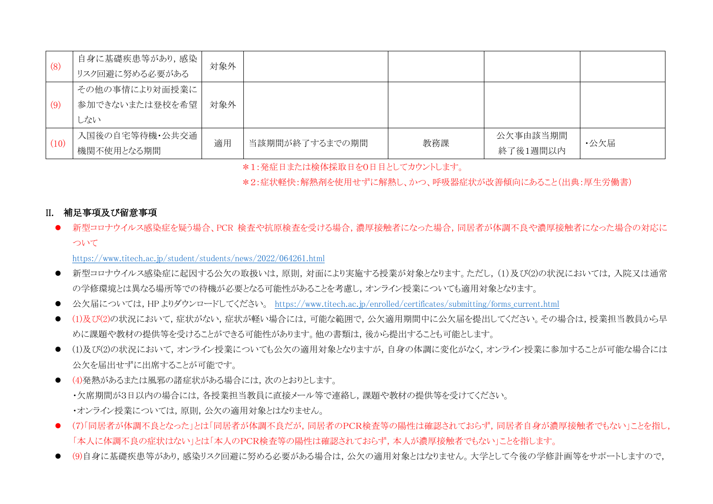| (8)  | 自身に基礎疾患等があり、感染 | 対象外 |                |     |          |      |
|------|----------------|-----|----------------|-----|----------|------|
|      | リスク回避に努める必要がある |     |                |     |          |      |
|      | その他の事情により対面授業に |     |                |     |          |      |
| (9)  | 参加できないまたは登校を希望 | 対象外 |                |     |          |      |
|      | しない            |     |                |     |          |      |
|      | 入国後の自宅等待機・公共交通 | 適用  | 当該期間が終了するまでの期間 | 教務課 | 公欠事由該当期間 | ・公欠届 |
| (10) | 機関不使用となる期間     |     |                |     | 終了後1週間以内 |      |

\*1:発症日または検体採取日を0日目としてカウントします。

\*2:症状軽快:解熱剤を使用せずに解熱し、かつ、呼吸器症状が改善傾向にあること(出典:厚生労働書)

### II. 補足事項及び留意事項

● 新型コロナウイルス感染症を疑う場合、PCR 検査や抗原検査を受ける場合,濃厚接触者になった場合,同居者が体調不良や濃厚接触者になった場合の対応に ついて

<https://www.titech.ac.jp/student/students/news/2022/064261.html>

- 新型コロナウイルス感染症に起因する公欠の取扱いは,原則,対面により実施する授業が対象となります。ただし,(1)及び(2)の状況においては,入院又は通常 の学修環境とは異なる場所等での待機が必要となる可能性があることを考慮し,オンライン授業についても適用対象となります。
- 公欠届については,HP よりダウンロードしてください。 [https://www.titech.ac.jp/enrolled/certificates/submitting/forms\\_current.html](https://www.titech.ac.jp/enrolled/certificates/submitting/forms_current.html)
- (1)及び(2)の状況において,症状がない,症状が軽い場合には,可能な範囲で,公欠適用期間中に公欠届を提出してください。その場合は,授業担当教員から早 めに課題や教材の提供等を受けることができる可能性があります。他の書類は、後から提出することも可能とします。
- (1)及び(2)の状況において,オンライン授業についても公欠の適用対象となりますが,自身の体調に変化がなく,オンライン授業に参加することが可能な場合には 公欠を届出せずに出席することが可能です。
- (4)発熱があるまたは風邪の諸症状がある場合には,次のとおりとします。 ・欠席期間が3日以内の場合には,各授業担当教員に直接メール等で連絡し,課題や教材の提供等を受けてください。 ・オンライン授業については,原則,公欠の適用対象とはなりません。
- (7)「同居者が体調不良となった」とは「同居者が体調不良だが,同居者のPCR検査等の陽性は確認されておらず,同居者自身が濃厚接触者でもない」ことを指し, 「本人に体調不良の症状はない」とは「本人のPCR検査等の陽性は確認されておらず,本人が濃厚接触者でもない」ことを指します。
- (9)自身に基礎疾患等があり、感染リスク回避に努める必要がある場合は、公欠の適用対象とはなりません。大学として今後の学修計画等をサポートしますので,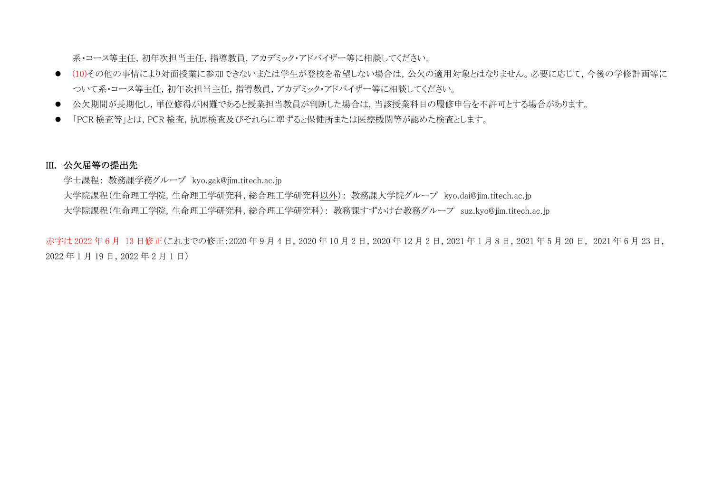系・コース等主任,初年次担当主任,指導教員,アカデミック・アドバイザー等に相談してください。

- (10)その他の事情により対面授業に参加できないまたは学生が登校を希望しない場合は、公欠の適用対象とはなりません。必要に応じて、今後の学修計画等に ついて系・コース等主任,初年次担当主任,指導教員,アカデミック・アドバイザー等に相談してください。
- 公欠期間が長期化し、単位修得が困難であると授業担当教員が判断した場合は、当該授業科目の履修申告を不許可とする場合があります。
- 「PCR 検査等」とは, PCR 検査,抗原検査及びそれらに準ずると保健所または医療機関等が認めた検査とします。

### III. 公欠届等の提出先

学士課程: 教務課学務グループ kyo.gak@jim.titech.ac.jp

大学院課程(生命理工学院,生命理工学研究科,総合理工学研究科以外): 教務課大学院グループ kyo.dai@jim.titech.ac.jp

大学院課程(生命理工学院,生命理工学研究科,総合理工学研究科): 教務課すずかけ台教務グループ suz.kyo@jim.titech.ac.jp

赤字は 2022 年 6 月 13 日修正(これまでの修正:2020 年 9 月 4 日, 2020 年 10 月 2 日, 2020 年 12 月 2 日, 2021 年 1 月 8 日, 2021 年 5 月 20 日, 2021 年 6 月 23 日, 2022 年 1 月 19 日,2022 年 2 月 1 日)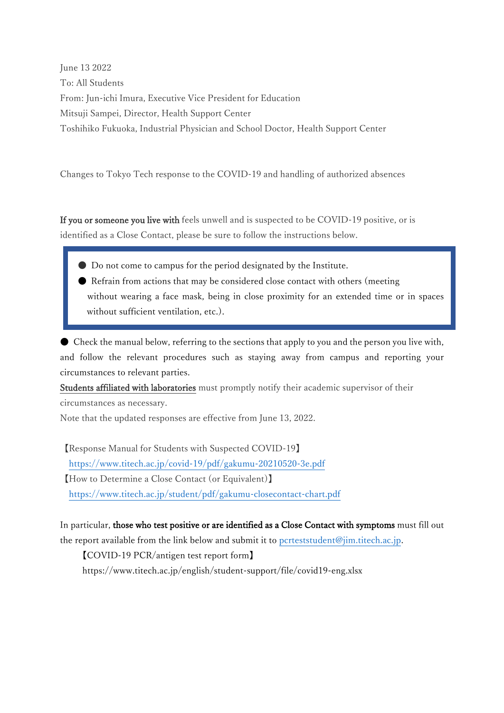June 13 2022 To: All Students From: Jun-ichi Imura, Executive Vice President for Education Mitsuji Sampei, Director, Health Support Center Toshihiko Fukuoka, Industrial Physician and School Doctor, Health Support Center

Changes to Tokyo Tech response to the COVID-19 and handling of authorized absences

If you or someone you live with feels unwell and is suspected to be COVID-19 positive, or is identified as a Close Contact, please be sure to follow the instructions below.

- Do not come to campus for the period designated by the Institute.
- Refrain from actions that may be considered close contact with others (meeting without wearing a face mask, being in close proximity for an extended time or in spaces without sufficient ventilation, etc.).

● Check the manual below, referring to the sections that apply to you and the person you live with, and follow the relevant procedures such as staying away from campus and reporting your circumstances to relevant parties.

Students affiliated with laboratories must promptly notify their academic supervisor of their circumstances as necessary.

Note that the updated responses are effective from June 13, 2022.

【Response Manual for Students with Suspected COVID-19】 <https://www.titech.ac.jp/covid-19/pdf/gakumu-20210520-3e.pdf> 【How to Determine a Close Contact (or Equivalent)】 <https://www.titech.ac.jp/student/pdf/gakumu-closecontact-chart.pdf>

In particular, those who test positive or are identified as a Close Contact with symptoms must fill out the report available from the link below and submit it to [pcrteststudent@jim.titech.ac.jp.](mailto:pcrteststudent@jim.titech.ac.jp)

【COVID-19 PCR/antigen test report form】 https://www.titech.ac.jp/english/student-support/file/covid19-eng.xlsx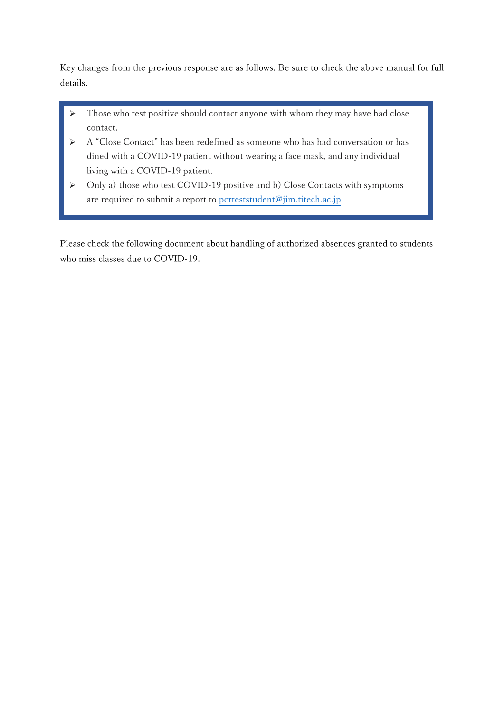Key changes from the previous response are as follows. Be sure to check the above manual for full details.

- $\triangleright$  Those who test positive should contact anyone with whom they may have had close contact.
- A "Close Contact" has been redefined as someone who has had conversation or has dined with a COVID-19 patient without wearing a face mask, and any individual living with a COVID-19 patient.
- Only a) those who test COVID-19 positive and b) Close Contacts with symptoms are required to submit a report to [pcrteststudent@jim.titech.ac.jp.](mailto:pcrteststudent@jim.titech.ac.jp)

Please check the following document about handling of authorized absences granted to students who miss classes due to COVID-19.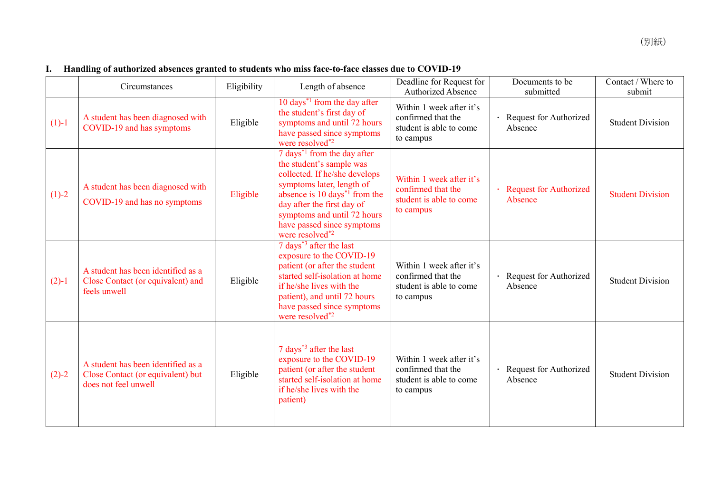## **I. Handling of authorized absences granted to students who miss face-to-face classes due to COVID-19**

|         | Circumstances                                                                                   | Eligibility | Length of absence                                                                                                                                                                                                                                                                              | Deadline for Request for<br><b>Authorized Absence</b>                                  | Documents to be<br>submitted        | Contact / Where to<br>submit |
|---------|-------------------------------------------------------------------------------------------------|-------------|------------------------------------------------------------------------------------------------------------------------------------------------------------------------------------------------------------------------------------------------------------------------------------------------|----------------------------------------------------------------------------------------|-------------------------------------|------------------------------|
| $(1)-1$ | A student has been diagnosed with<br>COVID-19 and has symptoms                                  | Eligible    | 10 days <sup><math>*1</math></sup> from the day after<br>the student's first day of<br>symptoms and until 72 hours<br>have passed since symptoms<br>were resolved <sup>*2</sup>                                                                                                                | Within 1 week after it's<br>confirmed that the<br>student is able to come<br>to campus | Request for Authorized<br>Absence   | <b>Student Division</b>      |
| $(1)-2$ | A student has been diagnosed with<br>COVID-19 and has no symptoms                               | Eligible    | $7$ days <sup>*1</sup> from the day after<br>the student's sample was<br>collected. If he/she develops<br>symptoms later, length of<br>absence is 10 days <sup>*1</sup> from the<br>day after the first day of<br>symptoms and until 72 hours<br>have passed since symptoms<br>were resolved*2 | Within 1 week after it's<br>confirmed that the<br>student is able to come<br>to campus | · Request for Authorized<br>Absence | <b>Student Division</b>      |
| $(2)-1$ | A student has been identified as a<br>Close Contact (or equivalent) and<br>feels unwell         | Eligible    | 7 days <sup>*3</sup> after the last<br>exposure to the COVID-19<br>patient (or after the student<br>started self-isolation at home<br>if he/she lives with the<br>patient), and until 72 hours<br>have passed since symptoms<br>were resolved*2                                                | Within 1 week after it's<br>confirmed that the<br>student is able to come<br>to campus | · Request for Authorized<br>Absence | <b>Student Division</b>      |
| $(2)-2$ | A student has been identified as a<br>Close Contact (or equivalent) but<br>does not feel unwell | Eligible    | 7 days <sup>*3</sup> after the last<br>exposure to the COVID-19<br>patient (or after the student<br>started self-isolation at home<br>if he/she lives with the<br>patient)                                                                                                                     | Within 1 week after it's<br>confirmed that the<br>student is able to come<br>to campus | · Request for Authorized<br>Absence | <b>Student Division</b>      |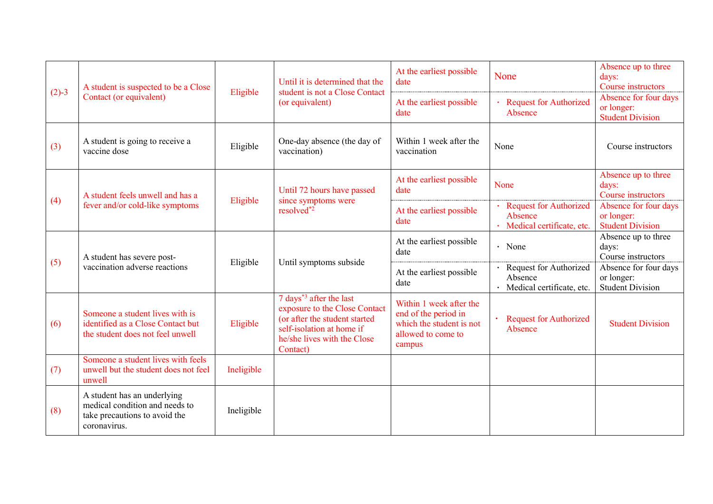| $(2)-3$ | A student is suspected to be a Close<br>Contact (or equivalent)                                                | Eligible   | Until it is determined that the<br>student is not a Close Contact<br>(or equivalent)                                                                                          | At the earliest possible<br>date                                                                            | None                                                                  | Absence up to three<br>days:<br>Course instructors             |
|---------|----------------------------------------------------------------------------------------------------------------|------------|-------------------------------------------------------------------------------------------------------------------------------------------------------------------------------|-------------------------------------------------------------------------------------------------------------|-----------------------------------------------------------------------|----------------------------------------------------------------|
|         |                                                                                                                |            |                                                                                                                                                                               | At the earliest possible<br>date                                                                            | · Request for Authorized<br>Absence                                   | Absence for four days<br>or longer:<br><b>Student Division</b> |
| (3)     | A student is going to receive a<br>vaccine dose                                                                | Eligible   | One-day absence (the day of<br>vaccination)                                                                                                                                   | Within 1 week after the<br>vaccination                                                                      | None                                                                  | Course instructors                                             |
|         | A student feels unwell and has a<br>fever and/or cold-like symptoms                                            | Eligible   | Until 72 hours have passed<br>since symptoms were<br>resolved*2                                                                                                               | At the earliest possible<br>date                                                                            | None                                                                  | Absence up to three<br>days:<br>Course instructors             |
| (4)     |                                                                                                                |            |                                                                                                                                                                               | At the earliest possible<br>date                                                                            | <b>Request for Authorized</b><br>Absence<br>Medical certificate, etc. | Absence for four days<br>or longer:<br><b>Student Division</b> |
|         | A student has severe post-<br>vaccination adverse reactions                                                    | Eligible   | Until symptoms subside                                                                                                                                                        | At the earliest possible<br>date                                                                            | $\cdot$ None                                                          | Absence up to three<br>days:<br>Course instructors             |
| (5)     |                                                                                                                |            |                                                                                                                                                                               | At the earliest possible<br>date                                                                            | · Request for Authorized<br>Absence<br>· Medical certificate, etc.    | Absence for four days<br>or longer:<br><b>Student Division</b> |
| (6)     | Someone a student lives with is<br>identified as a Close Contact but<br>the student does not feel unwell       | Eligible   | 7 days <sup>*3</sup> after the last<br>exposure to the Close Contact<br>(or after the student started<br>self-isolation at home if<br>he/she lives with the Close<br>Contact) | Within 1 week after the<br>end of the period in<br>which the student is not<br>allowed to come to<br>campus | <b>Request for Authorized</b><br>Absence                              | <b>Student Division</b>                                        |
| (7)     | Someone a student lives with feels<br>unwell but the student does not feel<br>unwell                           | Ineligible |                                                                                                                                                                               |                                                                                                             |                                                                       |                                                                |
| (8)     | A student has an underlying<br>medical condition and needs to<br>take precautions to avoid the<br>coronavirus. | Ineligible |                                                                                                                                                                               |                                                                                                             |                                                                       |                                                                |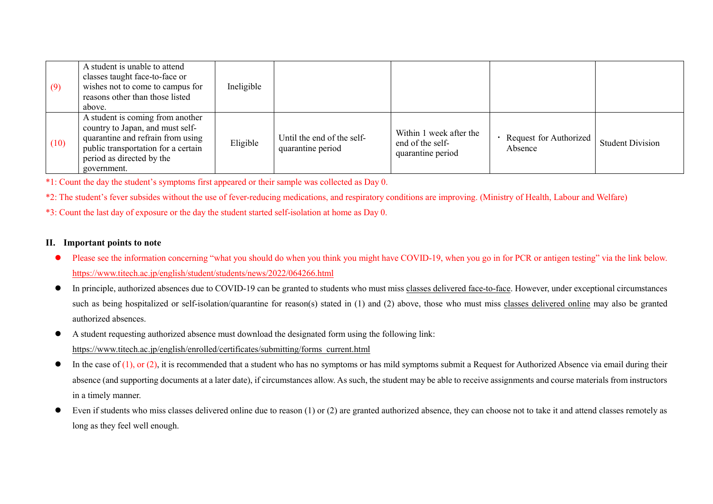| (9)  | A student is unable to attend<br>classes taught face-to-face or<br>wishes not to come to campus for<br>reasons other than those listed<br>above.                                             | Ineligible |                                                 |                                                                  |                                     |                         |
|------|----------------------------------------------------------------------------------------------------------------------------------------------------------------------------------------------|------------|-------------------------------------------------|------------------------------------------------------------------|-------------------------------------|-------------------------|
| (10) | A student is coming from another<br>country to Japan, and must self-<br>quarantine and refrain from using<br>public transportation for a certain<br>period as directed by the<br>government. | Eligible   | Until the end of the self-<br>quarantine period | Within 1 week after the<br>end of the self-<br>quarantine period | • Request for Authorized<br>Absence | <b>Student Division</b> |

\*1: Count the day the student's symptoms first appeared or their sample was collected as Day 0.

\*2: The student's fever subsides without the use of fever-reducing medications, and respiratory conditions are improving. (Ministry of Health, Labour and Welfare)

\*3: Count the last day of exposure or the day the student started self-isolation at home as Day 0.

### **II. Important points to note**

- Please see the information concerning "what you should do when you think you might have COVID-19, when you go in for PCR or antigen testing" via the link below. https://www.titech.ac.jp/english/student/students/news/2022/064266.html
- In principle, authorized absences due to COVID-19 can be granted to students who must miss classes delivered face-to-face. However, under exceptional circumstances such as being hospitalized or self-isolation/quarantine for reason(s) stated in (1) and (2) above, those who must miss classes delivered online may also be granted authorized absences.
- A student requesting authorized absence must download the designated form using the following link: [https://www.titech.ac.jp/english/enrolled/certificates/submitting/forms\\_current.html](https://www.titech.ac.jp/english/enrolled/certificates/submitting/forms_current.html)
- $\bullet$  In the case of (1), or (2), it is recommended that a student who has no symptoms or has mild symptoms submit a Request for Authorized Absence via email during their absence (and supporting documents at a later date), if circumstances allow. As such, the student may be able to receive assignments and course materials from instructors in a timely manner.
- Even if students who miss classes delivered online due to reason  $(1)$  or  $(2)$  are granted authorized absence, they can choose not to take it and attend classes remotely as long as they feel well enough.